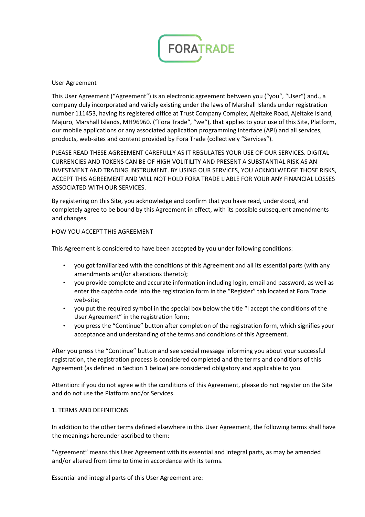

#### User Agreement

This User Agreement ("Agreement") is an electronic agreement between you ("you", "User") and., a company duly incorporated and validly existing under the laws of Marshall Islands under registration number 111453, having its registered office at Trust Company Complex, Ajeltake Road, Ajeltake Island, Majuro, Marshall Islands, MH96960. ("Fora Trade", "we"), that applies to your use of this Site, Platform, our mobile applications or any associated application programming interface (API) and all services, products, web-sites and content provided by Fora Trade (collectively "Services").

PLEASE READ THESE AGREEMENT CAREFULLY AS IT REGULATES YOUR USE OF OUR SERVICES. DIGITAL CURRENCIES AND TOKENS CAN BE OF HIGH VOLITILITY AND PRESENT A SUBSTANTIAL RISK AS AN INVESTMENT AND TRADING INSTRUMENT. BY USING OUR SERVICES, YOU ACKNOLWEDGE THOSE RISKS, ACCEPT THIS AGREEMENT AND WILL NOT HOLD FORA TRADE LIABLE FOR YOUR ANY FINANCIAL LOSSES ASSOCIATED WITH OUR SERVICES.

By registering on this Site, you acknowledge and confirm that you have read, understood, and completely agree to be bound by this Agreement in effect, with its possible subsequent amendments and changes.

### HOW YOU ACCEPT THIS AGREEMENT

This Agreement is considered to have been accepted by you under following conditions:

- you got familiarized with the conditions of this Agreement and all its essential parts (with any amendments and/or alterations thereto);
- you provide complete and accurate information including login, email and password, as well as enter the captcha code into the registration form in the "Register" tab located at Fora Trade web-site;
- you put the required symbol in the special box below the title "I accept the conditions of the User Agreement" in the registration form;
- you press the "Continue" button after completion of the registration form, which signifies your acceptance and understanding of the terms and conditions of this Agreement.

After you press the "Continue" button and see special message informing you about your successful registration, the registration process is considered completed and the terms and conditions of this Agreement (as defined in Section 1 below) are considered obligatory and applicable to you.

Attention: if you do not agree with the conditions of this Agreement, please do not register on the Site and do not use the Platform and/or Services.

#### 1. TERMS AND DEFINITIONS

In addition to the other terms defined elsewhere in this User Agreement, the following terms shall have the meanings hereunder ascribed to them:

"Agreement" means this User Agreement with its essential and integral parts, as may be amended and/or altered from time to time in accordance with its terms.

Essential and integral parts of this User Agreement are: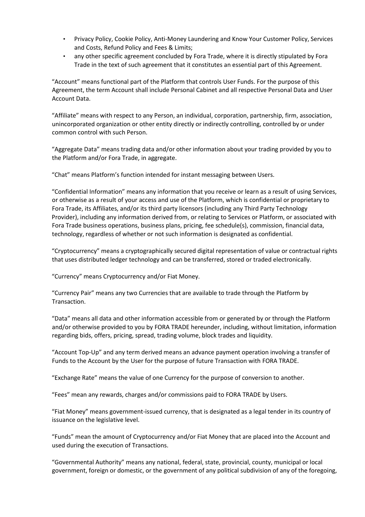- Privacy Policy, Cookie Policy, Anti-Money Laundering and Know Your Customer Policy, Services and Costs, Refund Policy and Fees & Limits;
- any other specific agreement concluded by Fora Trade, where it is directly stipulated by Fora Trade in the text of such agreement that it constitutes an essential part of this Agreement.

"Account" means functional part of the Platform that controls User Funds. For the purpose of this Agreement, the term Account shall include Personal Cabinet and all respective Personal Data and User Account Data.

"Affiliate" means with respect to any Person, an individual, corporation, partnership, firm, association, unincorporated organization or other entity directly or indirectly controlling, controlled by or under common control with such Person.

"Aggregate Data" means trading data and/or other information about your trading provided by you to the Platform and/or Fora Trade, in aggregate.

"Chat" means Platform's function intended for instant messaging between Users.

"Confidential Information" means any information that you receive or learn as a result of using Services, or otherwise as a result of your access and use of the Platform, which is confidential or proprietary to Fora Trade, its Affiliates, and/or its third party licensors (including any Third Party Technology Provider), including any information derived from, or relating to Services or Platform, or associated with Fora Trade business operations, business plans, pricing, fee schedule(s), commission, financial data, technology, regardless of whether or not such information is designated as confidential.

"Cryptocurrency" means a cryptographically secured digital representation of value or contractual rights that uses distributed ledger technology and can be transferred, stored or traded electronically.

"Currency" means Cryptocurrency and/or Fiat Money.

"Currency Pair" means any two Currencies that are available to trade through the Platform by Transaction.

"Data" means all data and other information accessible from or generated by or through the Platform and/or otherwise provided to you by FORA TRADE hereunder, including, without limitation, information regarding bids, offers, pricing, spread, trading volume, block trades and liquidity.

"Account Top-Up" and any term derived means an advance payment operation involving a transfer of Funds to the Account by the User for the purpose of future Transaction with FORA TRADE.

"Exchange Rate" means the value of one Currency for the purpose of conversion to another.

"Fees" mean any rewards, charges and/or commissions paid to FORA TRADE by Users.

"Fiat Money" means government-issued currency, that is designated as a legal tender in its country of issuance on the legislative level.

"Funds" mean the amount of Cryptocurrency and/or Fiat Money that are placed into the Account and used during the execution of Transactions.

"Governmental Authority" means any national, federal, state, provincial, county, municipal or local government, foreign or domestic, or the government of any political subdivision of any of the foregoing,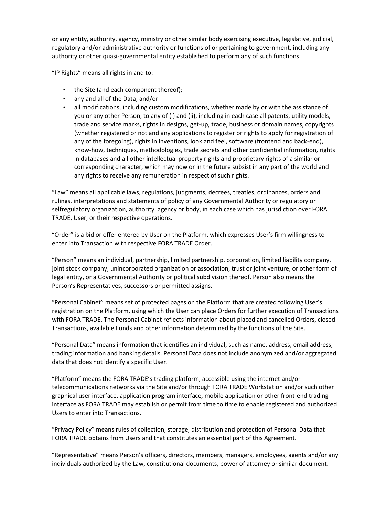or any entity, authority, agency, ministry or other similar body exercising executive, legislative, judicial, regulatory and/or administrative authority or functions of or pertaining to government, including any authority or other quasi-governmental entity established to perform any of such functions.

"IP Rights" means all rights in and to:

- the Site (and each component thereof);
- any and all of the Data; and/or
- all modifications, including custom modifications, whether made by or with the assistance of you or any other Person, to any of (i) and (ii), including in each case all patents, utility models, trade and service marks, rights in designs, get-up, trade, business or domain names, copyrights (whether registered or not and any applications to register or rights to apply for registration of any of the foregoing), rights in inventions, look and feel, software (frontend and back-end), know-how, techniques, methodologies, trade secrets and other confidential information, rights in databases and all other intellectual property rights and proprietary rights of a similar or corresponding character, which may now or in the future subsist in any part of the world and any rights to receive any remuneration in respect of such rights.

"Law" means all applicable laws, regulations, judgments, decrees, treaties, ordinances, orders and rulings, interpretations and statements of policy of any Governmental Authority or regulatory or selfregulatory organization, authority, agency or body, in each case which has jurisdiction over FORA TRADE, User, or their respective operations.

"Order" is a bid or offer entered by User on the Platform, which expresses User's firm willingness to enter into Transaction with respective FORA TRADE Order.

"Person" means an individual, partnership, limited partnership, corporation, limited liability company, joint stock company, unincorporated organization or association, trust or joint venture, or other form of legal entity, or a Governmental Authority or political subdivision thereof. Person also means the Person's Representatives, successors or permitted assigns.

"Personal Cabinet" means set of protected pages on the Platform that are created following User's registration on the Platform, using which the User can place Orders for further execution of Transactions with FORA TRADE. The Personal Cabinet reflects information about placed and cancelled Orders, closed Transactions, available Funds and other information determined by the functions of the Site.

"Personal Data" means information that identifies an individual, such as name, address, email address, trading information and banking details. Personal Data does not include anonymized and/or aggregated data that does not identify a specific User.

"Platform" means the FORA TRADE's trading platform, accessible using the internet and/or telecommunications networks via the Site and/or through FORA TRADE Workstation and/or such other graphical user interface, application program interface, mobile application or other front-end trading interface as FORA TRADE may establish or permit from time to time to enable registered and authorized Users to enter into Transactions.

"Privacy Policy" means rules of collection, storage, distribution and protection of Personal Data that FORA TRADE obtains from Users and that constitutes an essential part of this Agreement.

"Representative" means Person's officers, directors, members, managers, employees, agents and/or any individuals authorized by the Law, constitutional documents, power of attorney or similar document.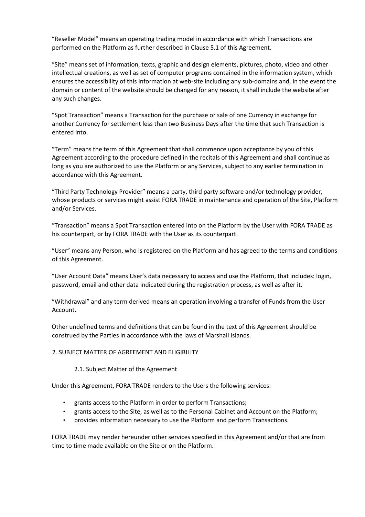"Reseller Model" means an operating trading model in accordance with which Transactions are performed on the Platform as further described in Clause 5.1 of this Agreement.

"Site" means set of information, texts, graphic and design elements, pictures, photo, video and other intellectual creations, as well as set of computer programs contained in the information system, which ensures the accessibility of this information at web-site including any sub-domains and, in the event the domain or content of the website should be changed for any reason, it shall include the website after any such changes.

"Spot Transaction" means a Transaction for the purchase or sale of one Currency in exchange for another Currency for settlement less than two Business Days after the time that such Transaction is entered into.

"Term" means the term of this Agreement that shall commence upon acceptance by you of this Agreement according to the procedure defined in the recitals of this Agreement and shall continue as long as you are authorized to use the Platform or any Services, subject to any earlier termination in accordance with this Agreement.

"Third Party Technology Provider" means a party, third party software and/or technology provider, whose products or services might assist FORA TRADE in maintenance and operation of the Site, Platform and/or Services.

"Transaction" means a Spot Transaction entered into on the Platform by the User with FORA TRADE as his counterpart, or by FORA TRADE with the User as its counterpart.

"User" means any Person, who is registered on the Platform and has agreed to the terms and conditions of this Agreement.

"User Account Data" means User's data necessary to access and use the Platform, that includes: login, password, email and other data indicated during the registration process, as well as after it.

"Withdrawal" and any term derived means an operation involving a transfer of Funds from the User Account.

Other undefined terms and definitions that can be found in the text of this Agreement should be construed by the Parties in accordance with the laws of Marshall Islands.

## 2. SUBJECT MATTER OF AGREEMENT AND ELIGIBILITY

#### 2.1. Subject Matter of the Agreement

Under this Agreement, FORA TRADE renders to the Users the following services:

- grants access to the Platform in order to perform Transactions;
- grants access to the Site, as well as to the Personal Cabinet and Account on the Platform;
- provides information necessary to use the Platform and perform Transactions.

FORA TRADE may render hereunder other services specified in this Agreement and/or that are from time to time made available on the Site or on the Platform.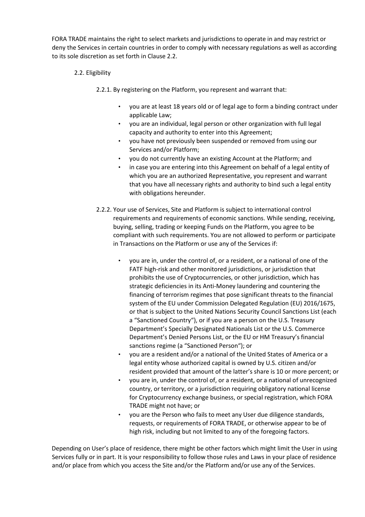FORA TRADE maintains the right to select markets and jurisdictions to operate in and may restrict or deny the Services in certain countries in order to comply with necessary regulations as well as according to its sole discretion as set forth in Clause 2.2.

2.2. Eligibility

2.2.1. By registering on the Platform, you represent and warrant that:

- you are at least 18 years old or of legal age to form a binding contract under applicable Law;
- you are an individual, legal person or other organization with full legal capacity and authority to enter into this Agreement;
- you have not previously been suspended or removed from using our Services and/or Platform;
- you do not currently have an existing Account at the Platform; and
- in case you are entering into this Agreement on behalf of a legal entity of which you are an authorized Representative, you represent and warrant that you have all necessary rights and authority to bind such a legal entity with obligations hereunder.
- 2.2.2. Your use of Services, Site and Platform is subject to international control requirements and requirements of economic sanctions. While sending, receiving, buying, selling, trading or keeping Funds on the Platform, you agree to be compliant with such requirements. You are not allowed to perform or participate in Transactions on the Platform or use any of the Services if:
	- you are in, under the control of, or a resident, or a national of one of the FATF high-risk and other monitored jurisdictions, or jurisdiction that prohibits the use of Cryptocurrencies, or other jurisdiction, which has strategic deficiencies in its Anti-Money laundering and countering the financing of terrorism regimes that pose significant threats to the financial system of the EU under Commission Delegated Regulation (EU) 2016/1675, or that is subject to the United Nations Security Council Sanctions List (each a "Sanctioned Country"), or if you are a person on the U.S. Treasury Department's Specially Designated Nationals List or the U.S. Commerce Department's Denied Persons List, or the EU or HM Treasury's financial sanctions regime (a "Sanctioned Person"); or
	- you are a resident and/or a national of the United States of America or a legal entity whose authorized capital is owned by U.S. citizen and/or resident provided that amount of the latter's share is 10 or more percent; or
	- you are in, under the control of, or a resident, or a national of unrecognized country, or territory, or a jurisdiction requiring obligatory national license for Cryptocurrency exchange business, or special registration, which FORA TRADE might not have; or
	- you are the Person who fails to meet any User due diligence standards, requests, or requirements of FORA TRADE, or otherwise appear to be of high risk, including but not limited to any of the foregoing factors.

Depending on User's place of residence, there might be other factors which might limit the User in using Services fully or in part. It is your responsibility to follow those rules and Laws in your place of residence and/or place from which you access the Site and/or the Platform and/or use any of the Services.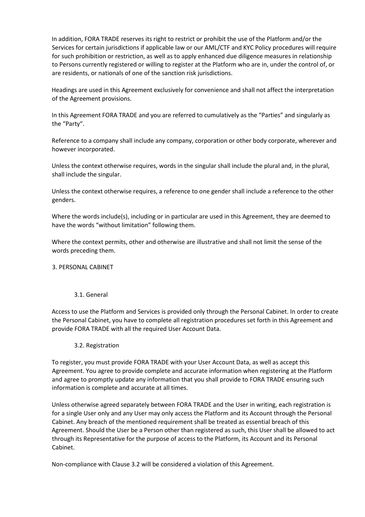In addition, FORA TRADE reserves its right to restrict or prohibit the use of the Platform and/or the Services for certain jurisdictions if applicable law or our AML/CTF and KYC Policy procedures will require for such prohibition or restriction, as well as to apply enhanced due diligence measures in relationship to Persons currently registered or willing to register at the Platform who are in, under the control of, or are residents, or nationals of one of the sanction risk jurisdictions.

Headings are used in this Agreement exclusively for convenience and shall not affect the interpretation of the Agreement provisions.

In this Agreement FORA TRADE and you are referred to cumulatively as the "Parties" and singularly as the "Party".

Reference to a company shall include any company, corporation or other body corporate, wherever and however incorporated.

Unless the context otherwise requires, words in the singular shall include the plural and, in the plural, shall include the singular.

Unless the context otherwise requires, a reference to one gender shall include a reference to the other genders.

Where the words include(s), including or in particular are used in this Agreement, they are deemed to have the words "without limitation" following them.

Where the context permits, other and otherwise are illustrative and shall not limit the sense of the words preceding them.

#### 3. PERSONAL CABINET

#### 3.1. General

Access to use the Platform and Services is provided only through the Personal Cabinet. In order to create the Personal Cabinet, you have to complete all registration procedures set forth in this Agreement and provide FORA TRADE with all the required User Account Data.

## 3.2. Registration

To register, you must provide FORA TRADE with your User Account Data, as well as accept this Agreement. You agree to provide complete and accurate information when registering at the Platform and agree to promptly update any information that you shall provide to FORA TRADE ensuring such information is complete and accurate at all times.

Unless otherwise agreed separately between FORA TRADE and the User in writing, each registration is for a single User only and any User may only access the Platform and its Account through the Personal Cabinet. Any breach of the mentioned requirement shall be treated as essential breach of this Agreement. Should the User be a Person other than registered as such, this User shall be allowed to act through its Representative for the purpose of access to the Platform, its Account and its Personal Cabinet.

Non-compliance with Clause 3.2 will be considered a violation of this Agreement.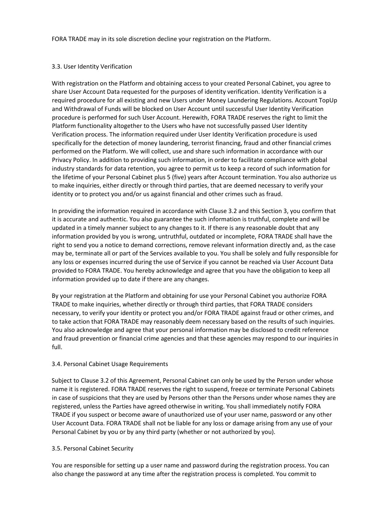FORA TRADE may in its sole discretion decline your registration on the Platform.

### 3.3. User Identity Verification

With registration on the Platform and obtaining access to your created Personal Cabinet, you agree to share User Account Data requested for the purposes of identity verification. Identity Verification is a required procedure for all existing and new Users under Money Laundering Regulations. Account TopUp and Withdrawal of Funds will be blocked on User Account until successful User Identity Verification procedure is performed for such User Account. Herewith, FORA TRADE reserves the right to limit the Platform functionality altogether to the Users who have not successfully passed User Identity Verification process. The information required under User Identity Verification procedure is used specifically for the detection of money laundering, terrorist financing, fraud and other financial crimes performed on the Platform. We will collect, use and share such information in accordance with our Privacy Policy. In addition to providing such information, in order to facilitate compliance with global industry standards for data retention, you agree to permit us to keep a record of such information for the lifetime of your Personal Cabinet plus 5 (five) years after Account termination. You also authorize us to make inquiries, either directly or through third parties, that are deemed necessary to verify your identity or to protect you and/or us against financial and other crimes such as fraud.

In providing the information required in accordance with Clause 3.2 and this Section 3, you confirm that it is accurate and authentic. You also guarantee the such information is truthful, complete and will be updated in a timely manner subject to any changes to it. If there is any reasonable doubt that any information provided by you is wrong, untruthful, outdated or incomplete, FORA TRADE shall have the right to send you a notice to demand corrections, remove relevant information directly and, as the case may be, terminate all or part of the Services available to you. You shall be solely and fully responsible for any loss or expenses incurred during the use of Service if you cannot be reached via User Account Data provided to FORA TRADE. You hereby acknowledge and agree that you have the obligation to keep all information provided up to date if there are any changes.

By your registration at the Platform and obtaining for use your Personal Cabinet you authorize FORA TRADE to make inquiries, whether directly or through third parties, that FORA TRADE considers necessary, to verify your identity or protect you and/or FORA TRADE against fraud or other crimes, and to take action that FORA TRADE may reasonably deem necessary based on the results of such inquiries. You also acknowledge and agree that your personal information may be disclosed to credit reference and fraud prevention or financial crime agencies and that these agencies may respond to our inquiries in full.

## 3.4. Personal Cabinet Usage Requirements

Subject to Clause 3.2 of this Agreement, Personal Cabinet can only be used by the Person under whose name it is registered. FORA TRADE reserves the right to suspend, freeze or terminate Personal Cabinets in case of suspicions that they are used by Persons other than the Persons under whose names they are registered, unless the Parties have agreed otherwise in writing. You shall immediately notify FORA TRADE if you suspect or become aware of unauthorized use of your user name, password or any other User Account Data. FORA TRADE shall not be liable for any loss or damage arising from any use of your Personal Cabinet by you or by any third party (whether or not authorized by you).

#### 3.5. Personal Cabinet Security

You are responsible for setting up a user name and password during the registration process. You can also change the password at any time after the registration process is completed. You commit to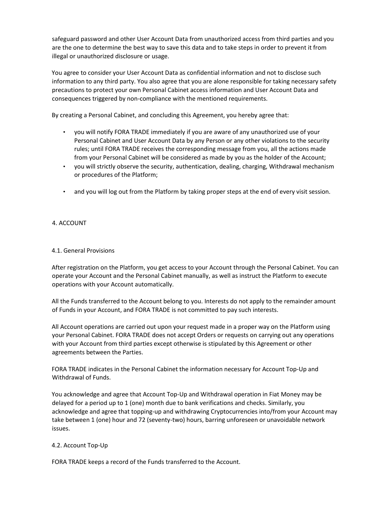safeguard password and other User Account Data from unauthorized access from third parties and you are the one to determine the best way to save this data and to take steps in order to prevent it from illegal or unauthorized disclosure or usage.

You agree to consider your User Account Data as confidential information and not to disclose such information to any third party. You also agree that you are alone responsible for taking necessary safety precautions to protect your own Personal Cabinet access information and User Account Data and consequences triggered by non-compliance with the mentioned requirements.

By creating a Personal Cabinet, and concluding this Agreement, you hereby agree that:

- you will notify FORA TRADE immediately if you are aware of any unauthorized use of your Personal Cabinet and User Account Data by any Person or any other violations to the security rules; until FORA TRADE receives the corresponding message from you, all the actions made from your Personal Cabinet will be considered as made by you as the holder of the Account;
- you will strictly observe the security, authentication, dealing, charging, Withdrawal mechanism or procedures of the Platform;
- and you will log out from the Platform by taking proper steps at the end of every visit session.

### 4. ACCOUNT

#### 4.1. General Provisions

After registration on the Platform, you get access to your Account through the Personal Cabinet. You can operate your Account and the Personal Cabinet manually, as well as instruct the Platform to execute operations with your Account automatically.

All the Funds transferred to the Account belong to you. Interests do not apply to the remainder amount of Funds in your Account, and FORA TRADE is not committed to pay such interests.

All Account operations are carried out upon your request made in a proper way on the Platform using your Personal Cabinet. FORA TRADE does not accept Orders or requests on carrying out any operations with your Account from third parties except otherwise is stipulated by this Agreement or other agreements between the Parties.

FORA TRADE indicates in the Personal Cabinet the information necessary for Account Top-Up and Withdrawal of Funds.

You acknowledge and agree that Account Top-Up and Withdrawal operation in Fiat Money may be delayed for a period up to 1 (one) month due to bank verifications and checks. Similarly, you acknowledge and agree that topping-up and withdrawing Cryptocurrencies into/from your Account may take between 1 (one) hour and 72 (seventy-two) hours, barring unforeseen or unavoidable network issues.

#### 4.2. Account Top-Up

FORA TRADE keeps a record of the Funds transferred to the Account.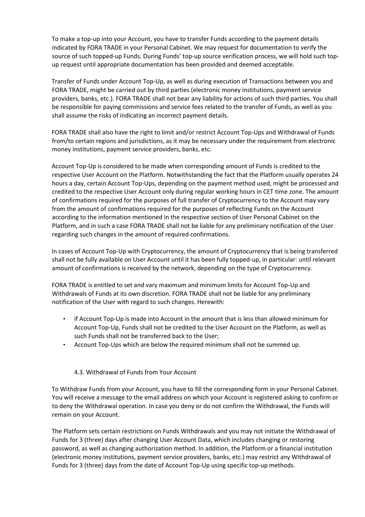To make a top-up into your Account, you have to transfer Funds according to the payment details indicated by FORA TRADE in your Personal Cabinet. We may request for documentation to verify the source of such topped-up Funds. During Funds' top-up source verification process, we will hold such topup request until appropriate documentation has been provided and deemed acceptable.

Transfer of Funds under Account Top-Up, as well as during execution of Transactions between you and FORA TRADE, might be carried out by third parties (electronic money institutions, payment service providers, banks, etc.). FORA TRADE shall not bear any liability for actions of such third parties. You shall be responsible for paying commissions and service fees related to the transfer of Funds, as well as you shall assume the risks of indicating an incorrect payment details.

FORA TRADE shall also have the right to limit and/or restrict Account Top-Ups and Withdrawal of Funds from/to certain regions and jurisdictions, as it may be necessary under the requirement from electronic money institutions, payment service providers, banks, etc.

Account Top-Up is considered to be made when corresponding amount of Funds is credited to the respective User Account on the Platform. Notwithstanding the fact that the Platform usually operates 24 hours a day, certain Account Top-Ups, depending on the payment method used, might be processed and credited to the respective User Account only during regular working hours in CET time zone. The amount of confirmations required for the purposes of full transfer of Cryptocurrency to the Account may vary from the amount of confirmations required for the purposes of reflecting Funds on the Account according to the information mentioned in the respective section of User Personal Cabinet on the Platform, and in such a case FORA TRADE shall not be liable for any preliminary notification of the User regarding such changes in the amount of required confirmations.

In cases of Account Top-Up with Cryptocurrency, the amount of Cryptocurrency that is being transferred shall not be fully available on User Account until it has been fully topped-up, in particular: until relevant amount of confirmations is received by the network, depending on the type of Cryptocurrency.

FORA TRADE is entitled to set and vary maximum and minimum limits for Account Top-Up and Withdrawals of Funds at its own discretion. FORA TRADE shall not be liable for any preliminary notification of the User with regard to such changes. Herewith:

- if Account Top-Up is made into Account in the amount that is less than allowed minimum for Account Top-Up, Funds shall not be credited to the User Account on the Platform, as well as such Funds shall not be transferred back to the User;
- Account Top-Ups which are below the required minimum shall not be summed up.

## 4.3. Withdrawal of Funds from Your Account

To Withdraw Funds from your Account, you have to fill the corresponding form in your Personal Cabinet. You will receive a message to the email address on which your Account is registered asking to confirm or to deny the Withdrawal operation. In case you deny or do not confirm the Withdrawal, the Funds will remain on your Account.

The Platform sets certain restrictions on Funds Withdrawals and you may not initiate the Withdrawal of Funds for 3 (three) days after changing User Account Data, which includes changing or restoring password, as well as changing authorization method. In addition, the Platform or a financial institution (electronic money institutions, payment service providers, banks, etc.) may restrict any Withdrawal of Funds for 3 (three) days from the date of Account Top-Up using specific top-up methods.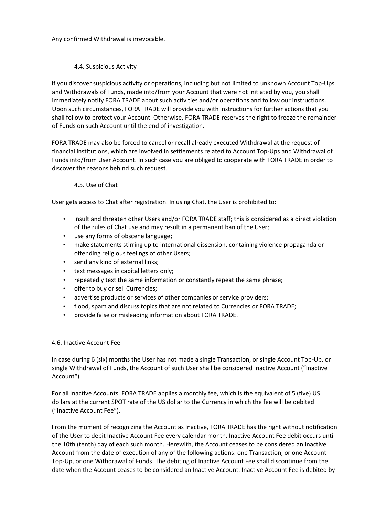Any confirmed Withdrawal is irrevocable.

## 4.4. Suspicious Activity

If you discover suspicious activity or operations, including but not limited to unknown Account Top-Ups and Withdrawals of Funds, made into/from your Account that were not initiated by you, you shall immediately notify FORA TRADE about such activities and/or operations and follow our instructions. Upon such circumstances, FORA TRADE will provide you with instructions for further actions that you shall follow to protect your Account. Otherwise, FORA TRADE reserves the right to freeze the remainder of Funds on such Account until the end of investigation.

FORA TRADE may also be forced to cancel or recall already executed Withdrawal at the request of financial institutions, which are involved in settlements related to Account Top-Ups and Withdrawal of Funds into/from User Account. In such case you are obliged to cooperate with FORA TRADE in order to discover the reasons behind such request.

## 4.5. Use of Chat

User gets access to Chat after registration. In using Chat, the User is prohibited to:

- insult and threaten other Users and/or FORA TRADE staff; this is considered as a direct violation of the rules of Chat use and may result in a permanent ban of the User;
- use any forms of obscene language;
- make statements stirring up to international dissension, containing violence propaganda or offending religious feelings of other Users;
- send any kind of external links;
- text messages in capital letters only;
- repeatedly text the same information or constantly repeat the same phrase;
- offer to buy or sell Currencies;
- advertise products or services of other companies or service providers;
- flood, spam and discuss topics that are not related to Currencies or FORA TRADE;
- provide false or misleading information about FORA TRADE.

## 4.6. Inactive Account Fee

In case during 6 (six) months the User has not made a single Transaction, or single Account Top-Up, or single Withdrawal of Funds, the Account of such User shall be considered Inactive Account ("Inactive Account").

For all Inactive Accounts, FORA TRADE applies a monthly fee, which is the equivalent of 5 (five) US dollars at the current SPOT rate of the US dollar to the Currency in which the fee will be debited ("Inactive Account Fee").

From the moment of recognizing the Account as Inactive, FORA TRADE has the right without notification of the User to debit Inactive Account Fee every calendar month. Inactive Account Fee debit occurs until the 10th (tenth) day of each such month. Herewith, the Account ceases to be considered an Inactive Account from the date of execution of any of the following actions: one Transaction, or one Account Top-Up, or one Withdrawal of Funds. The debiting of Inactive Account Fee shall discontinue from the date when the Account ceases to be considered an Inactive Account. Inactive Account Fee is debited by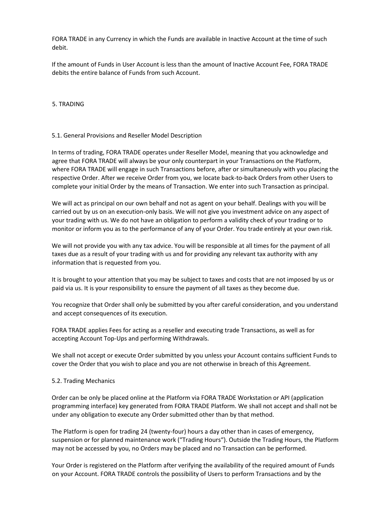FORA TRADE in any Currency in which the Funds are available in Inactive Account at the time of such debit.

If the amount of Funds in User Account is less than the amount of Inactive Account Fee, FORA TRADE debits the entire balance of Funds from such Account.

5. TRADING

#### 5.1. General Provisions and Reseller Model Description

In terms of trading, FORA TRADE operates under Reseller Model, meaning that you acknowledge and agree that FORA TRADE will always be your only counterpart in your Transactions on the Platform, where FORA TRADE will engage in such Transactions before, after or simultaneously with you placing the respective Order. After we receive Order from you, we locate back-to-back Orders from other Users to complete your initial Order by the means of Transaction. We enter into such Transaction as principal.

We will act as principal on our own behalf and not as agent on your behalf. Dealings with you will be carried out by us on an execution-only basis. We will not give you investment advice on any aspect of your trading with us. We do not have an obligation to perform a validity check of your trading or to monitor or inform you as to the performance of any of your Order. You trade entirely at your own risk.

We will not provide you with any tax advice. You will be responsible at all times for the payment of all taxes due as a result of your trading with us and for providing any relevant tax authority with any information that is requested from you.

It is brought to your attention that you may be subject to taxes and costs that are not imposed by us or paid via us. It is your responsibility to ensure the payment of all taxes as they become due.

You recognize that Order shall only be submitted by you after careful consideration, and you understand and accept consequences of its execution.

FORA TRADE applies Fees for acting as a reseller and executing trade Transactions, as well as for accepting Account Top-Ups and performing Withdrawals.

We shall not accept or execute Order submitted by you unless your Account contains sufficient Funds to cover the Order that you wish to place and you are not otherwise in breach of this Agreement.

#### 5.2. Trading Mechanics

Order can be only be placed online at the Platform via FORA TRADE Workstation or API (application programming interface) key generated from FORA TRADE Platform. We shall not accept and shall not be under any obligation to execute any Order submitted other than by that method.

The Platform is open for trading 24 (twenty-four) hours a day other than in cases of emergency, suspension or for planned maintenance work ("Trading Hours"). Outside the Trading Hours, the Platform may not be accessed by you, no Orders may be placed and no Transaction can be performed.

Your Order is registered on the Platform after verifying the availability of the required amount of Funds on your Account. FORA TRADE controls the possibility of Users to perform Transactions and by the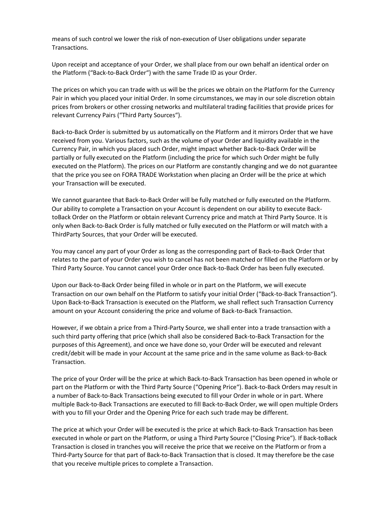means of such control we lower the risk of non-execution of User obligations under separate Transactions.

Upon receipt and acceptance of your Order, we shall place from our own behalf an identical order on the Platform ("Back-to-Back Order") with the same Trade ID as your Order.

The prices on which you can trade with us will be the prices we obtain on the Platform for the Currency Pair in which you placed your initial Order. In some circumstances, we may in our sole discretion obtain prices from brokers or other crossing networks and multilateral trading facilities that provide prices for relevant Currency Pairs ("Third Party Sources").

Back-to-Back Order is submitted by us automatically on the Platform and it mirrors Order that we have received from you. Various factors, such as the volume of your Order and liquidity available in the Currency Pair, in which you placed such Order, might impact whether Back-to-Back Order will be partially or fully executed on the Platform (including the price for which such Order might be fully executed on the Platform). The prices on our Platform are constantly changing and we do not guarantee that the price you see on FORA TRADE Workstation when placing an Order will be the price at which your Transaction will be executed.

We cannot guarantee that Back-to-Back Order will be fully matched or fully executed on the Platform. Our ability to complete a Transaction on your Account is dependent on our ability to execute BacktoBack Order on the Platform or obtain relevant Currency price and match at Third Party Source. It is only when Back-to-Back Order is fully matched or fully executed on the Platform or will match with a ThirdParty Sources, that your Order will be executed.

You may cancel any part of your Order as long as the corresponding part of Back-to-Back Order that relates to the part of your Order you wish to cancel has not been matched or filled on the Platform or by Third Party Source. You cannot cancel your Order once Back-to-Back Order has been fully executed.

Upon our Back-to-Back Order being filled in whole or in part on the Platform, we will execute Transaction on our own behalf on the Platform to satisfy your initial Order ("Back-to-Back Transaction"). Upon Back-to-Back Transaction is executed on the Platform, we shall reflect such Transaction Currency amount on your Account considering the price and volume of Back-to-Back Transaction.

However, if we obtain a price from a Third-Party Source, we shall enter into a trade transaction with a such third party offering that price (which shall also be considered Back-to-Back Transaction for the purposes of this Agreement), and once we have done so, your Order will be executed and relevant credit/debit will be made in your Account at the same price and in the same volume as Back-to-Back Transaction.

The price of your Order will be the price at which Back-to-Back Transaction has been opened in whole or part on the Platform or with the Third Party Source ("Opening Price"). Back-to-Back Orders may result in a number of Back-to-Back Transactions being executed to fill your Order in whole or in part. Where multiple Back-to-Back Transactions are executed to fill Back-to-Back Order, we will open multiple Orders with you to fill your Order and the Opening Price for each such trade may be different.

The price at which your Order will be executed is the price at which Back-to-Back Transaction has been executed in whole or part on the Platform, or using a Third Party Source ("Closing Price"). If Back-toBack Transaction is closed in tranches you will receive the price that we receive on the Platform or from a Third-Party Source for that part of Back-to-Back Transaction that is closed. It may therefore be the case that you receive multiple prices to complete a Transaction.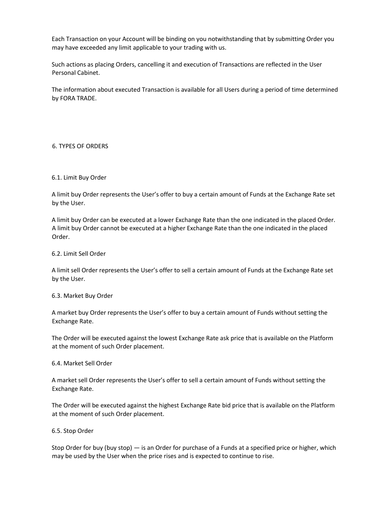Each Transaction on your Account will be binding on you notwithstanding that by submitting Order you may have exceeded any limit applicable to your trading with us.

Such actions as placing Orders, cancelling it and execution of Transactions are reflected in the User Personal Cabinet.

The information about executed Transaction is available for all Users during a period of time determined by FORA TRADE.

### 6. TYPES OF ORDERS

#### 6.1. Limit Buy Order

A limit buy Order represents the User's offer to buy a certain amount of Funds at the Exchange Rate set by the User.

A limit buy Order can be executed at a lower Exchange Rate than the one indicated in the placed Order. A limit buy Order cannot be executed at a higher Exchange Rate than the one indicated in the placed Order.

#### 6.2. Limit Sell Order

A limit sell Order represents the User's offer to sell a certain amount of Funds at the Exchange Rate set by the User.

#### 6.3. Market Buy Order

A market buy Order represents the User's offer to buy a certain amount of Funds without setting the Exchange Rate.

The Order will be executed against the lowest Exchange Rate ask price that is available on the Platform at the moment of such Order placement.

#### 6.4. Market Sell Order

A market sell Order represents the User's offer to sell a certain amount of Funds without setting the Exchange Rate.

The Order will be executed against the highest Exchange Rate bid price that is available on the Platform at the moment of such Order placement.

#### 6.5. Stop Order

Stop Order for buy (buy stop) — is an Order for purchase of a Funds at a specified price or higher, which may be used by the User when the price rises and is expected to continue to rise.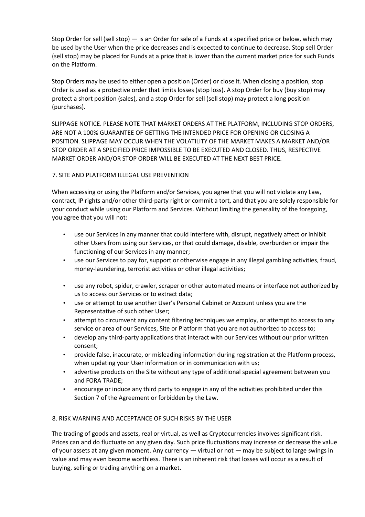Stop Order for sell (sell stop) — is an Order for sale of a Funds at a specified price or below, which may be used by the User when the price decreases and is expected to continue to decrease. Stop sell Order (sell stop) may be placed for Funds at a price that is lower than the current market price for such Funds on the Platform.

Stop Orders may be used to either open a position (Order) or close it. When closing a position, stop Order is used as a protective order that limits losses (stop loss). A stop Order for buy (buy stop) may protect a short position (sales), and a stop Order for sell (sell stop) may protect a long position (purchases).

SLIPPAGE NOTICE. PLEASE NOTE THAT MARKET ORDERS AT THE PLATFORM, INCLUDING STOP ORDERS, ARE NOT A 100% GUARANTEE OF GETTING THE INTENDED PRICE FOR OPENING OR CLOSING A POSITION. SLIPPAGE MAY OCCUR WHEN THE VOLATILITY OF THE MARKET MAKES A MARKET AND/OR STOP ORDER AT A SPECIFIED PRICE IMPOSSIBLE TO BE EXECUTED AND CLOSED. THUS, RESPECTIVE MARKET ORDER AND/OR STOP ORDER WILL BE EXECUTED AT THE NEXT BEST PRICE.

## 7. SITE AND PLATFORM ILLEGAL USE PREVENTION

When accessing or using the Platform and/or Services, you agree that you will not violate any Law, contract, IP rights and/or other third-party right or commit a tort, and that you are solely responsible for your conduct while using our Platform and Services. Without limiting the generality of the foregoing, you agree that you will not:

- use our Services in any manner that could interfere with, disrupt, negatively affect or inhibit other Users from using our Services, or that could damage, disable, overburden or impair the functioning of our Services in any manner;
- use our Services to pay for, support or otherwise engage in any illegal gambling activities, fraud, money-laundering, terrorist activities or other illegal activities;
- use any robot, spider, crawler, scraper or other automated means or interface not authorized by us to access our Services or to extract data;
- use or attempt to use another User's Personal Cabinet or Account unless you are the Representative of such other User;
- attempt to circumvent any content filtering techniques we employ, or attempt to access to any service or area of our Services, Site or Platform that you are not authorized to access to;
- develop any third-party applications that interact with our Services without our prior written consent;
- provide false, inaccurate, or misleading information during registration at the Platform process, when updating your User information or in communication with us;
- advertise products on the Site without any type of additional special agreement between you and FORA TRADE;
- encourage or induce any third party to engage in any of the activities prohibited under this Section 7 of the Agreement or forbidden by the Law.

## 8. RISK WARNING AND ACCEPTANCE OF SUCH RISKS BY THE USER

The trading of goods and assets, real or virtual, as well as Cryptocurrencies involves significant risk. Prices can and do fluctuate on any given day. Such price fluctuations may increase or decrease the value of your assets at any given moment. Any currency — virtual or not — may be subject to large swings in value and may even become worthless. There is an inherent risk that losses will occur as a result of buying, selling or trading anything on a market.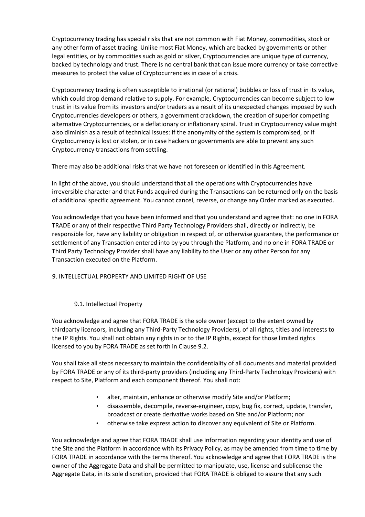Cryptocurrency trading has special risks that are not common with Fiat Money, commodities, stock or any other form of asset trading. Unlike most Fiat Money, which are backed by governments or other legal entities, or by commodities such as gold or silver, Cryptocurrencies are unique type of currency, backed by technology and trust. There is no central bank that can issue more currency or take corrective measures to protect the value of Cryptocurrencies in case of a crisis.

Cryptocurrency trading is often susceptible to irrational (or rational) bubbles or loss of trust in its value, which could drop demand relative to supply. For example, Cryptocurrencies can become subject to low trust in its value from its investors and/or traders as a result of its unexpected changes imposed by such Cryptocurrencies developers or others, a government crackdown, the creation of superior competing alternative Cryptocurrencies, or a deflationary or inflationary spiral. Trust in Cryptocurrency value might also diminish as a result of technical issues: if the anonymity of the system is compromised, or if Cryptocurrency is lost or stolen, or in case hackers or governments are able to prevent any such Cryptocurrency transactions from settling.

There may also be additional risks that we have not foreseen or identified in this Agreement.

In light of the above, you should understand that all the operations with Cryptocurrencies have irreversible character and that Funds acquired during the Transactions can be returned only on the basis of additional specific agreement. You cannot cancel, reverse, or change any Order marked as executed.

You acknowledge that you have been informed and that you understand and agree that: no one in FORA TRADE or any of their respective Third Party Technology Providers shall, directly or indirectly, be responsible for, have any liability or obligation in respect of, or otherwise guarantee, the performance or settlement of any Transaction entered into by you through the Platform, and no one in FORA TRADE or Third Party Technology Provider shall have any liability to the User or any other Person for any Transaction executed on the Platform.

## 9. INTELLECTUAL PROPERTY AND LIMITED RIGHT OF USE

## 9.1. Intellectual Property

You acknowledge and agree that FORA TRADE is the sole owner (except to the extent owned by thirdparty licensors, including any Third-Party Technology Providers), of all rights, titles and interests to the IP Rights. You shall not obtain any rights in or to the IP Rights, except for those limited rights licensed to you by FORA TRADE as set forth in Clause 9.2.

You shall take all steps necessary to maintain the confidentiality of all documents and material provided by FORA TRADE or any of its third-party providers (including any Third-Party Technology Providers) with respect to Site, Platform and each component thereof. You shall not:

- alter, maintain, enhance or otherwise modify Site and/or Platform;
- disassemble, decompile, reverse-engineer, copy, bug fix, correct, update, transfer, broadcast or create derivative works based on Site and/or Platform; nor
- otherwise take express action to discover any equivalent of Site or Platform.

You acknowledge and agree that FORA TRADE shall use information regarding your identity and use of the Site and the Platform in accordance with its Privacy Policy, as may be amended from time to time by FORA TRADE in accordance with the terms thereof. You acknowledge and agree that FORA TRADE is the owner of the Aggregate Data and shall be permitted to manipulate, use, license and sublicense the Aggregate Data, in its sole discretion, provided that FORA TRADE is obliged to assure that any such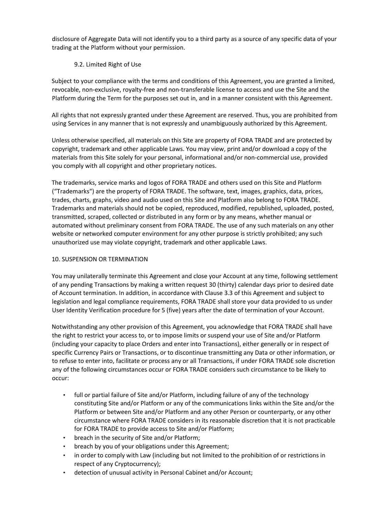disclosure of Aggregate Data will not identify you to a third party as a source of any specific data of your trading at the Platform without your permission.

## 9.2. Limited Right of Use

Subject to your compliance with the terms and conditions of this Agreement, you are granted a limited, revocable, non-exclusive, royalty-free and non-transferable license to access and use the Site and the Platform during the Term for the purposes set out in, and in a manner consistent with this Agreement.

All rights that not expressly granted under these Agreement are reserved. Thus, you are prohibited from using Services in any manner that is not expressly and unambiguously authorized by this Agreement.

Unless otherwise specified, all materials on this Site are property of FORA TRADE and are protected by copyright, trademark and other applicable Laws. You may view, print and/or download a copy of the materials from this Site solely for your personal, informational and/or non-commercial use, provided you comply with all copyright and other proprietary notices.

The trademarks, service marks and logos of FORA TRADE and others used on this Site and Platform ("Trademarks") are the property of FORA TRADE. The software, text, images, graphics, data, prices, trades, charts, graphs, video and audio used on this Site and Platform also belong to FORA TRADE. Trademarks and materials should not be copied, reproduced, modified, republished, uploaded, posted, transmitted, scraped, collected or distributed in any form or by any means, whether manual or automated without preliminary consent from FORA TRADE. The use of any such materials on any other website or networked computer environment for any other purpose is strictly prohibited; any such unauthorized use may violate copyright, trademark and other applicable Laws.

## 10. SUSPENSION OR TERMINATION

You may unilaterally terminate this Agreement and close your Account at any time, following settlement of any pending Transactions by making a written request 30 (thirty) calendar days prior to desired date of Account termination. In addition, in accordance with Clause 3.3 of this Agreement and subject to legislation and legal compliance requirements, FORA TRADE shall store your data provided to us under User Identity Verification procedure for 5 (five) years after the date of termination of your Account.

Notwithstanding any other provision of this Agreement, you acknowledge that FORA TRADE shall have the right to restrict your access to, or to impose limits or suspend your use of Site and/or Platform (including your capacity to place Orders and enter into Transactions), either generally or in respect of specific Currency Pairs or Transactions, or to discontinue transmitting any Data or other information, or to refuse to enter into, facilitate or process any or all Transactions, if under FORA TRADE sole discretion any of the following circumstances occur or FORA TRADE considers such circumstance to be likely to occur:

- full or partial failure of Site and/or Platform, including failure of any of the technology constituting Site and/or Platform or any of the communications links within the Site and/or the Platform or between Site and/or Platform and any other Person or counterparty, or any other circumstance where FORA TRADE considers in its reasonable discretion that it is not practicable for FORA TRADE to provide access to Site and/or Platform;
- breach in the security of Site and/or Platform;
- breach by you of your obligations under this Agreement;
- in order to comply with Law (including but not limited to the prohibition of or restrictions in respect of any Cryptocurrency);
- detection of unusual activity in Personal Cabinet and/or Account;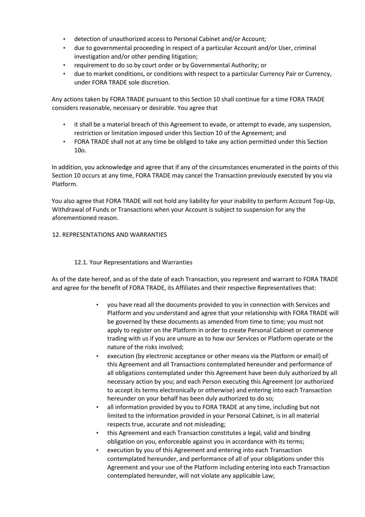- detection of unauthorized access to Personal Cabinet and/or Account;
- due to governmental proceeding in respect of a particular Account and/or User, criminal investigation and/or other pending litigation;
- requirement to do so by court order or by Governmental Authority; or
- due to market conditions, or conditions with respect to a particular Currency Pair or Currency, under FORA TRADE sole discretion.

Any actions taken by FORA TRADE pursuant to this Section 10 shall continue for a time FORA TRADE considers reasonable, necessary or desirable. You agree that

- it shall be a material breach of this Agreement to evade, or attempt to evade, any suspension, restriction or limitation imposed under this Section 10 of the Agreement; and
- FORA TRADE shall not at any time be obliged to take any action permitted under this Section 10о.

In addition, you acknowledge and agree that if any of the circumstances enumerated in the points of this Section 10 occurs at any time, FORA TRADE may cancel the Transaction previously executed by you via Platform.

You also agree that FORA TRADE will not hold any liability for your inability to perform Account Top-Up, Withdrawal of Funds or Transactions when your Account is subject to suspension for any the aforementioned reason.

### 12. REPRESENTATIONS AND WARRANTIES

#### 12.1. Your Representations and Warranties

As of the date hereof, and as of the date of each Transaction, you represent and warrant to FORA TRADE and agree for the benefit of FORA TRADE, its Affiliates and their respective Representatives that:

- you have read all the documents provided to you in connection with Services and Platform and you understand and agree that your relationship with FORA TRADE will be governed by these documents as amended from time to time; you must not apply to register on the Platform in order to create Personal Cabinet or commence trading with us if you are unsure as to how our Services or Platform operate or the nature of the risks involved;
- execution (by electronic acceptance or other means via the Platform or email) of this Agreement and all Transactions contemplated hereunder and performance of all obligations contemplated under this Agreement have been duly authorized by all necessary action by you; and each Person executing this Agreement (or authorized to accept its terms electronically or otherwise) and entering into each Transaction hereunder on your behalf has been duly authorized to do so;
- all information provided by you to FORA TRADE at any time, including but not limited to the information provided in your Personal Cabinet, is in all material respects true, accurate and not misleading;
- this Agreement and each Transaction constitutes a legal, valid and binding obligation on you, enforceable against you in accordance with its terms;
- execution by you of this Agreement and entering into each Transaction contemplated hereunder, and performance of all of your obligations under this Agreement and your use of the Platform including entering into each Transaction contemplated hereunder, will not violate any applicable Law;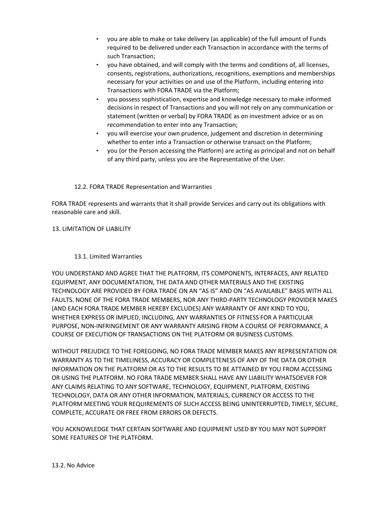- you are able to make or take delivery (as applicable) of the full amount of Funds required to be delivered under each Transaction in accordance with the terms of such Transaction;
- you have obtained, and will comply with the terms and conditions of, all licenses, consents, registrations, authorizations, recognitions, exemptions and memberships necessary for your activities on and use of the Platform, including entering into Transactions with FORA TRADE via the Platform;
- you possess sophistication, expertise and knowledge necessary to make informed decisions in respect of Transactions and you will not rely on any communication or statement (written or verbal) by FORA TRADE as on investment advice or as on recommendation to enter into any Transaction;
- you will exercise your own prudence, judgement and discretion in determining whether to enter into a Transaction or otherwise transact on the Platform;
- you (or the Person accessing the Platform) are acting as principal and not on behalf of any third party, unless you are the Representative of the User.

## 12.2. FORA TRADE Representation and Warranties

FORA TRADE represents and warrants that it shall provide Services and carry out its obligations with reasonable care and skill.

### 13. LIMITATION OF LIABILITY

### 13.1. Limited Warranties

YOU UNDERSTAND AND AGREE THAT THE PLATFORM, ITS COMPONENTS, INTERFACES, ANY RELATED EQUIPMENT, ANY DOCUMENTATION, THE DATA AND OTHER MATERIALS AND THE EXISTING TECHNOLOGY ARE PROVIDED BY FORA TRADE ON AN "AS IS" AND ON "AS AVAILABLE" BASIS WITH ALL FAULTS. NONE OF THE FORA TRADE MEMBERS, NOR ANY THIRD-PARTY TECHNOLOGY PROVIDER MAKES (AND EACH FORA TRADE MEMBER HEREBY EXCLUDES) ANY WARRANTY OF ANY KIND TO YOU, WHETHER EXPRESS OR IMPLIED, INCLUDING, ANY WARRANTIES OF FITNESS FOR A PARTICULAR PURPOSE, NON-INFRINGEMENT OR ANY WARRANTY ARISING FROM A COURSE OF PERFORMANCE, A COURSE OF EXECUTION OF TRANSACTIONS ON THE PLATFORM OR BUSINESS CUSTOMS.

WITHOUT PREJUDICE TO THE FOREGOING, NO FORA TRADE MEMBER MAKES ANY REPRESENTATION OR WARRANTY AS TO THE TIMELINESS, ACCURACY OR COMPLETENESS OF ANY OF THE DATA OR OTHER INFORMATION ON THE PLATFORM OR AS TO THE RESULTS TO BE ATTAINED BY YOU FROM ACCESSING OR USING THE PLATFORM. NO FORA TRADE MEMBER SHALL HAVE ANY LIABILITY WHATSOEVER FOR ANY CLAIMS RELATING TO ANY SOFTWARE, TECHNOLOGY, EQUIPMENT, PLATFORM, EXISTING TECHNOLOGY, DATA OR ANY OTHER INFORMATION, MATERIALS, CURRENCY OR ACCESS TO THE PLATFORM MEETING YOUR REQUIREMENTS OF SUCH ACCESS BEING UNINTERRUPTED, TIMELY, SECURE, COMPLETE, ACCURATE OR FREE FROM ERRORS OR DEFECTS.

YOU ACKNOWLEDGE THAT CERTAIN SOFTWARE AND EQUIPMENT USED BY YOU MAY NOT SUPPORT SOME FEATURES OF THE PLATFORM.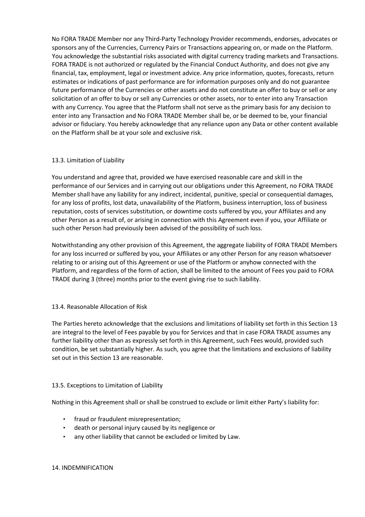No FORA TRADE Member nor any Third-Party Technology Provider recommends, endorses, advocates or sponsors any of the Currencies, Currency Pairs or Transactions appearing on, or made on the Platform. You acknowledge the substantial risks associated with digital currency trading markets and Transactions. FORA TRADE is not authorized or regulated by the Financial Conduct Authority, and does not give any financial, tax, employment, legal or investment advice. Any price information, quotes, forecasts, return estimates or indications of past performance are for information purposes only and do not guarantee future performance of the Currencies or other assets and do not constitute an offer to buy or sell or any solicitation of an offer to buy or sell any Currencies or other assets, nor to enter into any Transaction with any Currency. You agree that the Platform shall not serve as the primary basis for any decision to enter into any Transaction and No FORA TRADE Member shall be, or be deemed to be, your financial advisor or fiduciary. You hereby acknowledge that any reliance upon any Data or other content available on the Platform shall be at your sole and exclusive risk.

## 13.3. Limitation of Liability

You understand and agree that, provided we have exercised reasonable care and skill in the performance of our Services and in carrying out our obligations under this Agreement, no FORA TRADE Member shall have any liability for any indirect, incidental, punitive, special or consequential damages, for any loss of profits, lost data, unavailability of the Platform, business interruption, loss of business reputation, costs of services substitution, or downtime costs suffered by you, your Affiliates and any other Person as a result of, or arising in connection with this Agreement even if you, your Affiliate or such other Person had previously been advised of the possibility of such loss.

Notwithstanding any other provision of this Agreement, the aggregate liability of FORA TRADE Members for any loss incurred or suffered by you, your Affiliates or any other Person for any reason whatsoever relating to or arising out of this Agreement or use of the Platform or anyhow connected with the Platform, and regardless of the form of action, shall be limited to the amount of Fees you paid to FORA TRADE during 3 (three) months prior to the event giving rise to such liability.

# 13.4. Reasonable Allocation of Risk

The Parties hereto acknowledge that the exclusions and limitations of liability set forth in this Section 13 are integral to the level of Fees payable by you for Services and that in case FORA TRADE assumes any further liability other than as expressly set forth in this Agreement, such Fees would, provided such condition, be set substantially higher. As such, you agree that the limitations and exclusions of liability set out in this Section 13 are reasonable.

## 13.5. Exceptions to Limitation of Liability

Nothing in this Agreement shall or shall be construed to exclude or limit either Party's liability for:

- fraud or fraudulent misrepresentation;
- death or personal injury caused by its negligence or
- any other liability that cannot be excluded or limited by Law.

## 14. INDEMNIFICATION